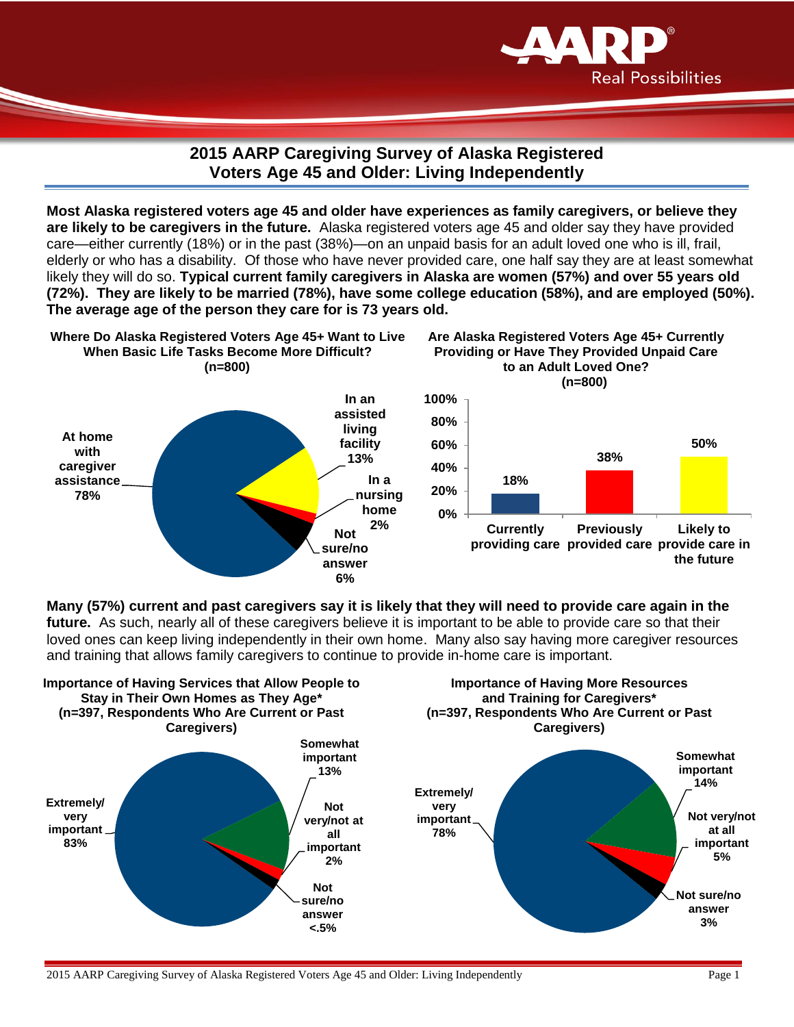

## **2015 AARP Caregiving Survey of Alaska Registered Voters Age 45 and Older: Living Independently**

**Most Alaska registered voters age 45 and older have experiences as family caregivers, or believe they are likely to be caregivers in the future.** Alaska registered voters age 45 and older say they have provided care—either currently (18%) or in the past (38%)—on an unpaid basis for an adult loved one who is ill, frail, elderly or who has a disability. Of those who have never provided care, one half say they are at least somewhat likely they will do so. **Typical current family caregivers in Alaska are women (57%) and over 55 years old (72%). They are likely to be married (78%), have some college education (58%), and are employed (50%). The average age of the person they care for is 73 years old.** 



**Many (57%) current and past caregivers say it is likely that they will need to provide care again in the future.** As such, nearly all of these caregivers believe it is important to be able to provide care so that their loved ones can keep living independently in their own home. Many also say having more caregiver resources and training that allows family caregivers to continue to provide in-home care is important.